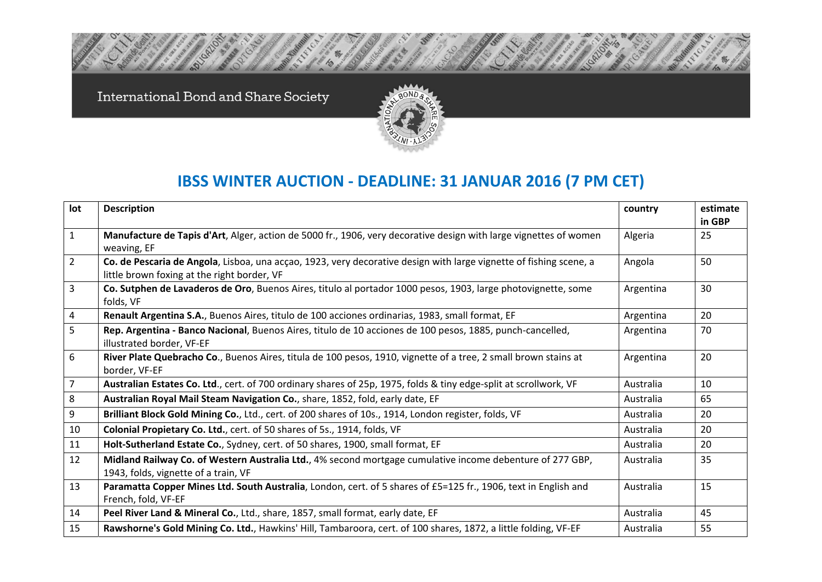International Bond and Share Society



## **IBSS WINTER AUCTION ‐ DEADLINE: 31 JANUAR 2016 (7 PM CET)**

| lot            | <b>Description</b>                                                                                                                                                | country   | estimate<br>in GBP |
|----------------|-------------------------------------------------------------------------------------------------------------------------------------------------------------------|-----------|--------------------|
| $\mathbf{1}$   | Manufacture de Tapis d'Art, Alger, action de 5000 fr., 1906, very decorative design with large vignettes of women<br>weaving, EF                                  | Algeria   | 25                 |
| $\overline{2}$ | Co. de Pescaria de Angola, Lisboa, una acçao, 1923, very decorative design with large vignette of fishing scene, a<br>little brown foxing at the right border, VF | Angola    | 50                 |
| 3              | Co. Sutphen de Lavaderos de Oro, Buenos Aires, titulo al portador 1000 pesos, 1903, large photovignette, some<br>folds, VF                                        | Argentina | 30                 |
| 4              | Renault Argentina S.A., Buenos Aires, titulo de 100 acciones ordinarias, 1983, small format, EF                                                                   | Argentina | 20                 |
| 5              | Rep. Argentina - Banco Nacional, Buenos Aires, titulo de 10 acciones de 100 pesos, 1885, punch-cancelled,<br>illustrated border, VF-EF                            | Argentina | 70                 |
| 6              | River Plate Quebracho Co., Buenos Aires, titula de 100 pesos, 1910, vignette of a tree, 2 small brown stains at<br>border, VF-EF                                  | Argentina | 20                 |
| 7              | Australian Estates Co. Ltd., cert. of 700 ordinary shares of 25p, 1975, folds & tiny edge-split at scrollwork, VF                                                 | Australia | 10                 |
| 8              | Australian Royal Mail Steam Navigation Co., share, 1852, fold, early date, EF                                                                                     | Australia | 65                 |
| 9              | Brilliant Block Gold Mining Co., Ltd., cert. of 200 shares of 10s., 1914, London register, folds, VF                                                              | Australia | 20                 |
| 10             | Colonial Propietary Co. Ltd., cert. of 50 shares of 5s., 1914, folds, VF                                                                                          | Australia | 20                 |
| 11             | Holt-Sutherland Estate Co., Sydney, cert. of 50 shares, 1900, small format, EF                                                                                    | Australia | 20                 |
| 12             | Midland Railway Co. of Western Australia Ltd., 4% second mortgage cumulative income debenture of 277 GBP,<br>1943, folds, vignette of a train, VF                 | Australia | 35                 |
| 13             | Paramatta Copper Mines Ltd. South Australia, London, cert. of 5 shares of £5=125 fr., 1906, text in English and<br>French, fold, VF-EF                            | Australia | 15                 |
| 14             | Peel River Land & Mineral Co., Ltd., share, 1857, small format, early date, EF                                                                                    | Australia | 45                 |
| 15             | Rawshorne's Gold Mining Co. Ltd., Hawkins' Hill, Tambaroora, cert. of 100 shares, 1872, a little folding, VF-EF                                                   | Australia | 55                 |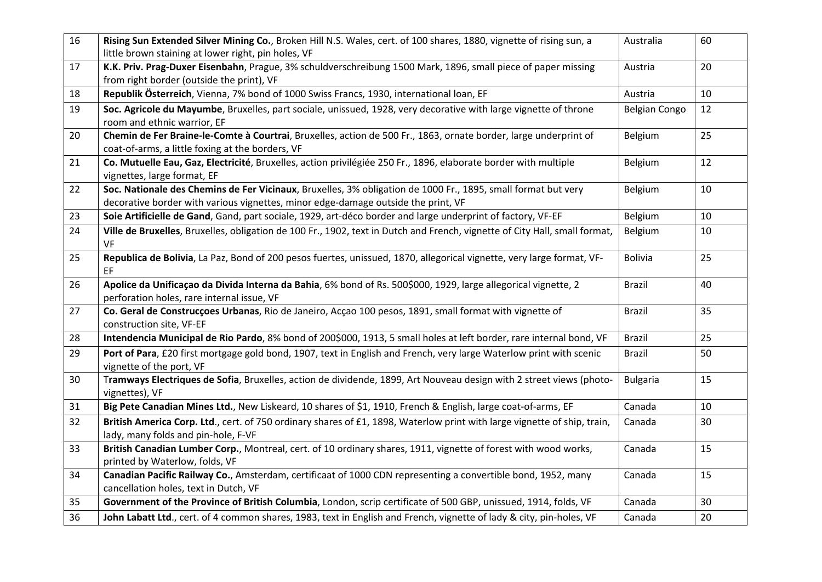| 16 | Rising Sun Extended Silver Mining Co., Broken Hill N.S. Wales, cert. of 100 shares, 1880, vignette of rising sun, a<br>little brown staining at lower right, pin holes, VF                         | Australia            | 60 |
|----|----------------------------------------------------------------------------------------------------------------------------------------------------------------------------------------------------|----------------------|----|
| 17 | K.K. Priv. Prag-Duxer Eisenbahn, Prague, 3% schuldverschreibung 1500 Mark, 1896, small piece of paper missing<br>from right border (outside the print), VF                                         | Austria              | 20 |
| 18 | Republik Österreich, Vienna, 7% bond of 1000 Swiss Francs, 1930, international loan, EF                                                                                                            | Austria              | 10 |
| 19 | Soc. Agricole du Mayumbe, Bruxelles, part sociale, unissued, 1928, very decorative with large vignette of throne<br>room and ethnic warrior, EF                                                    | <b>Belgian Congo</b> | 12 |
| 20 | Chemin de Fer Braine-le-Comte à Courtrai, Bruxelles, action de 500 Fr., 1863, ornate border, large underprint of<br>coat-of-arms, a little foxing at the borders, VF                               | Belgium              | 25 |
| 21 | Co. Mutuelle Eau, Gaz, Electricité, Bruxelles, action privilégiée 250 Fr., 1896, elaborate border with multiple<br>vignettes, large format, EF                                                     | Belgium              | 12 |
| 22 | Soc. Nationale des Chemins de Fer Vicinaux, Bruxelles, 3% obligation de 1000 Fr., 1895, small format but very<br>decorative border with various vignettes, minor edge-damage outside the print, VF | Belgium              | 10 |
| 23 | Soie Artificielle de Gand, Gand, part sociale, 1929, art-déco border and large underprint of factory, VF-EF                                                                                        | Belgium              | 10 |
| 24 | Ville de Bruxelles, Bruxelles, obligation de 100 Fr., 1902, text in Dutch and French, vignette of City Hall, small format,<br>VF                                                                   | Belgium              | 10 |
| 25 | Republica de Bolivia, La Paz, Bond of 200 pesos fuertes, unissued, 1870, allegorical vignette, very large format, VF-<br>EF                                                                        | <b>Bolivia</b>       | 25 |
| 26 | Apolice da Unificação da Divida Interna da Bahia, 6% bond of Rs. 500\$000, 1929, large allegorical vignette, 2<br>perforation holes, rare internal issue, VF                                       | <b>Brazil</b>        | 40 |
| 27 | Co. Geral de Construcçoes Urbanas, Rio de Janeiro, Acçao 100 pesos, 1891, small format with vignette of<br>construction site, VF-EF                                                                | <b>Brazil</b>        | 35 |
| 28 | Intendencia Municipal de Rio Pardo, 8% bond of 200\$000, 1913, 5 small holes at left border, rare internal bond, VF                                                                                | <b>Brazil</b>        | 25 |
| 29 | Port of Para, £20 first mortgage gold bond, 1907, text in English and French, very large Waterlow print with scenic<br>vignette of the port, VF                                                    | <b>Brazil</b>        | 50 |
| 30 | Tramways Electriques de Sofia, Bruxelles, action de dividende, 1899, Art Nouveau design with 2 street views (photo-<br>vignettes), VF                                                              | <b>Bulgaria</b>      | 15 |
| 31 | Big Pete Canadian Mines Ltd., New Liskeard, 10 shares of \$1, 1910, French & English, large coat-of-arms, EF                                                                                       | Canada               | 10 |
| 32 | British America Corp. Ltd., cert. of 750 ordinary shares of £1, 1898, Waterlow print with large vignette of ship, train,<br>lady, many folds and pin-hole, F-VF                                    | Canada               | 30 |
| 33 | British Canadian Lumber Corp., Montreal, cert. of 10 ordinary shares, 1911, vignette of forest with wood works,<br>printed by Waterlow, folds, VF                                                  | Canada               | 15 |
| 34 | Canadian Pacific Railway Co., Amsterdam, certificaat of 1000 CDN representing a convertible bond, 1952, many<br>cancellation holes, text in Dutch, VF                                              | Canada               | 15 |
| 35 | Government of the Province of British Columbia, London, scrip certificate of 500 GBP, unissued, 1914, folds, VF                                                                                    | Canada               | 30 |
| 36 | John Labatt Ltd., cert. of 4 common shares, 1983, text in English and French, vignette of lady & city, pin-holes, VF                                                                               | Canada               | 20 |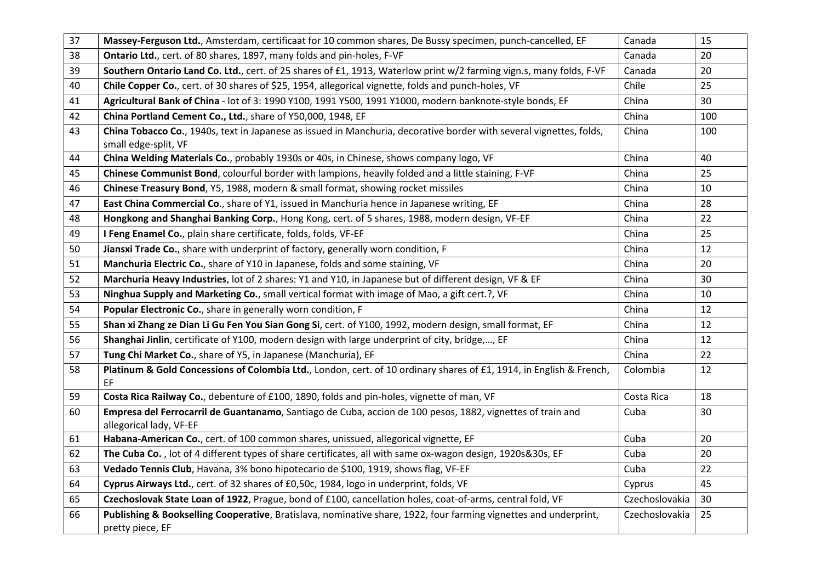| 37 | Massey-Ferguson Ltd., Amsterdam, certificaat for 10 common shares, De Bussy specimen, punch-cancelled, EF                             | Canada         | 15  |
|----|---------------------------------------------------------------------------------------------------------------------------------------|----------------|-----|
| 38 | Ontario Ltd., cert. of 80 shares, 1897, many folds and pin-holes, F-VF                                                                | Canada         | 20  |
| 39 | Southern Ontario Land Co. Ltd., cert. of 25 shares of £1, 1913, Waterlow print w/2 farming vign.s, many folds, F-VF                   | Canada         | 20  |
| 40 | Chile Copper Co., cert. of 30 shares of \$25, 1954, allegorical vignette, folds and punch-holes, VF                                   | Chile          | 25  |
| 41 | Agricultural Bank of China - lot of 3: 1990 Y100, 1991 Y500, 1991 Y1000, modern banknote-style bonds, EF                              | China          | 30  |
| 42 | China Portland Cement Co., Ltd., share of Y50,000, 1948, EF                                                                           | China          | 100 |
| 43 | China Tobacco Co., 1940s, text in Japanese as issued in Manchuria, decorative border with several vignettes, folds,                   | China          | 100 |
|    | small edge-split, VF                                                                                                                  |                |     |
| 44 | China Welding Materials Co., probably 1930s or 40s, in Chinese, shows company logo, VF                                                | China          | 40  |
| 45 | Chinese Communist Bond, colourful border with lampions, heavily folded and a little staining, F-VF                                    | China          | 25  |
| 46 | Chinese Treasury Bond, Y5, 1988, modern & small format, showing rocket missiles                                                       | China          | 10  |
| 47 | East China Commercial Co., share of Y1, issued in Manchuria hence in Japanese writing, EF                                             | China          | 28  |
| 48 | Hongkong and Shanghai Banking Corp., Hong Kong, cert. of 5 shares, 1988, modern design, VF-EF                                         | China          | 22  |
| 49 | I Feng Enamel Co., plain share certificate, folds, folds, VF-EF                                                                       | China          | 25  |
| 50 | Jiansxi Trade Co., share with underprint of factory, generally worn condition, F                                                      | China          | 12  |
| 51 | Manchuria Electric Co., share of Y10 in Japanese, folds and some staining, VF                                                         | China          | 20  |
| 52 | Marchuria Heavy Industries, lot of 2 shares: Y1 and Y10, in Japanese but of different design, VF & EF                                 | China          | 30  |
| 53 | Ninghua Supply and Marketing Co., small vertical format with image of Mao, a gift cert.?, VF                                          | China          | 10  |
| 54 | Popular Electronic Co., share in generally worn condition, F                                                                          | China          | 12  |
| 55 | Shan xi Zhang ze Dian Li Gu Fen You Sian Gong Si, cert. of Y100, 1992, modern design, small format, EF                                | China          | 12  |
| 56 | Shanghai Jinlin, certificate of Y100, modern design with large underprint of city, bridge,, EF                                        | China          | 12  |
| 57 | Tung Chi Market Co., share of Y5, in Japanese (Manchuria), EF                                                                         | China          | 22  |
| 58 | Platinum & Gold Concessions of Colombia Ltd., London, cert. of 10 ordinary shares of £1, 1914, in English & French,<br>EF             | Colombia       | 12  |
| 59 | Costa Rica Railway Co., debenture of £100, 1890, folds and pin-holes, vignette of man, VF                                             | Costa Rica     | 18  |
| 60 | Empresa del Ferrocarril de Guantanamo, Santiago de Cuba, accion de 100 pesos, 1882, vignettes of train and<br>allegorical lady, VF-EF | Cuba           | 30  |
| 61 | Habana-American Co., cert. of 100 common shares, unissued, allegorical vignette, EF                                                   | Cuba           | 20  |
| 62 | The Cuba Co., lot of 4 different types of share certificates, all with same ox-wagon design, 1920s&30s, EF                            | Cuba           | 20  |
| 63 | Vedado Tennis Club, Havana, 3% bono hipotecario de \$100, 1919, shows flag, VF-EF                                                     | Cuba           | 22  |
| 64 | Cyprus Airways Ltd., cert. of 32 shares of £0,50c, 1984, logo in underprint, folds, VF                                                | Cyprus         | 45  |
| 65 | Czechoslovak State Loan of 1922, Prague, bond of £100, cancellation holes, coat-of-arms, central fold, VF                             | Czechoslovakia | 30  |
| 66 | Publishing & Bookselling Cooperative, Bratislava, nominative share, 1922, four farming vignettes and underprint,                      | Czechoslovakia | 25  |
|    | pretty piece, EF                                                                                                                      |                |     |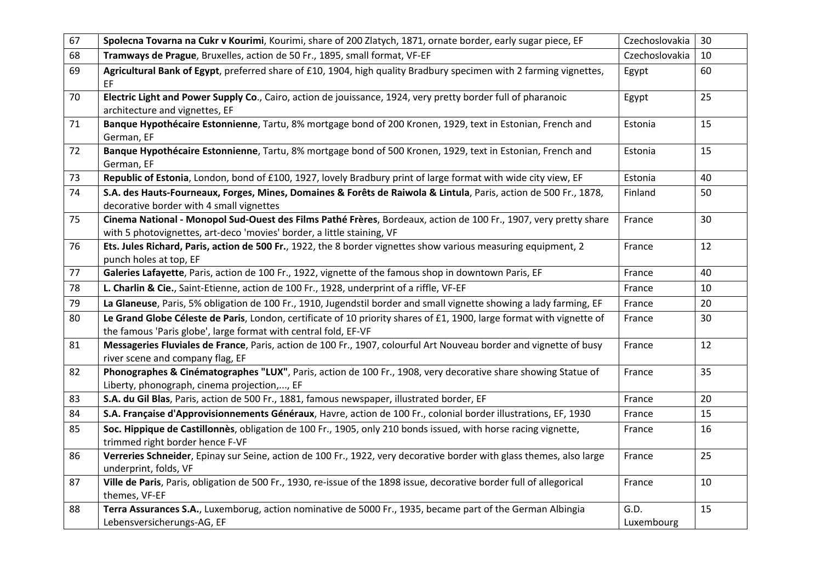| 67 | Spolecna Tovarna na Cukr v Kourimi, Kourimi, share of 200 Zlatych, 1871, ornate border, early sugar piece, EF                                                                              | Czechoslovakia     | 30 |
|----|--------------------------------------------------------------------------------------------------------------------------------------------------------------------------------------------|--------------------|----|
| 68 | Tramways de Prague, Bruxelles, action de 50 Fr., 1895, small format, VF-EF                                                                                                                 | Czechoslovakia     | 10 |
| 69 | Agricultural Bank of Egypt, preferred share of £10, 1904, high quality Bradbury specimen with 2 farming vignettes,<br>EF                                                                   | Egypt              | 60 |
| 70 | Electric Light and Power Supply Co., Cairo, action de jouissance, 1924, very pretty border full of pharanoic<br>architecture and vignettes, EF                                             | Egypt              | 25 |
| 71 | Banque Hypothécaire Estonnienne, Tartu, 8% mortgage bond of 200 Kronen, 1929, text in Estonian, French and<br>German, EF                                                                   | Estonia            | 15 |
| 72 | Banque Hypothécaire Estonnienne, Tartu, 8% mortgage bond of 500 Kronen, 1929, text in Estonian, French and<br>German, EF                                                                   | Estonia            | 15 |
| 73 | Republic of Estonia, London, bond of £100, 1927, lovely Bradbury print of large format with wide city view, EF                                                                             | Estonia            | 40 |
| 74 | S.A. des Hauts-Fourneaux, Forges, Mines, Domaines & Forêts de Raiwola & Lintula, Paris, action de 500 Fr., 1878,<br>decorative border with 4 small vignettes                               | Finland            | 50 |
| 75 | Cinema National - Monopol Sud-Ouest des Films Pathé Frères, Bordeaux, action de 100 Fr., 1907, very pretty share<br>with 5 photovignettes, art-deco 'movies' border, a little staining, VF | France             | 30 |
| 76 | Ets. Jules Richard, Paris, action de 500 Fr., 1922, the 8 border vignettes show various measuring equipment, 2<br>punch holes at top, EF                                                   | France             | 12 |
| 77 | Galeries Lafayette, Paris, action de 100 Fr., 1922, vignette of the famous shop in downtown Paris, EF                                                                                      | France             | 40 |
| 78 | L. Charlin & Cie., Saint-Etienne, action de 100 Fr., 1928, underprint of a riffle, VF-EF                                                                                                   | France             | 10 |
| 79 | La Glaneuse, Paris, 5% obligation de 100 Fr., 1910, Jugendstil border and small vignette showing a lady farming, EF                                                                        | France             | 20 |
| 80 | Le Grand Globe Céleste de Paris, London, certificate of 10 priority shares of £1, 1900, large format with vignette of<br>the famous 'Paris globe', large format with central fold, EF-VF   | France             | 30 |
| 81 | Messageries Fluviales de France, Paris, action de 100 Fr., 1907, colourful Art Nouveau border and vignette of busy<br>river scene and company flag, EF                                     | France             | 12 |
| 82 | Phonographes & Cinématographes "LUX", Paris, action de 100 Fr., 1908, very decorative share showing Statue of<br>Liberty, phonograph, cinema projection,, EF                               | France             | 35 |
| 83 | S.A. du Gil Blas, Paris, action de 500 Fr., 1881, famous newspaper, illustrated border, EF                                                                                                 | France             | 20 |
| 84 | S.A. Française d'Approvisionnements Généraux, Havre, action de 100 Fr., colonial border illustrations, EF, 1930                                                                            | France             | 15 |
| 85 | Soc. Hippique de Castillonnès, obligation de 100 Fr., 1905, only 210 bonds issued, with horse racing vignette,<br>trimmed right border hence F-VF                                          | France             | 16 |
| 86 | Verreries Schneider, Epinay sur Seine, action de 100 Fr., 1922, very decorative border with glass themes, also large<br>underprint, folds, VF                                              | France             | 25 |
| 87 | Ville de Paris, Paris, obligation de 500 Fr., 1930, re-issue of the 1898 issue, decorative border full of allegorical<br>themes, VF-EF                                                     | France             | 10 |
| 88 | Terra Assurances S.A., Luxemborug, action nominative de 5000 Fr., 1935, became part of the German Albingia<br>Lebensversicherungs-AG, EF                                                   | G.D.<br>Luxembourg | 15 |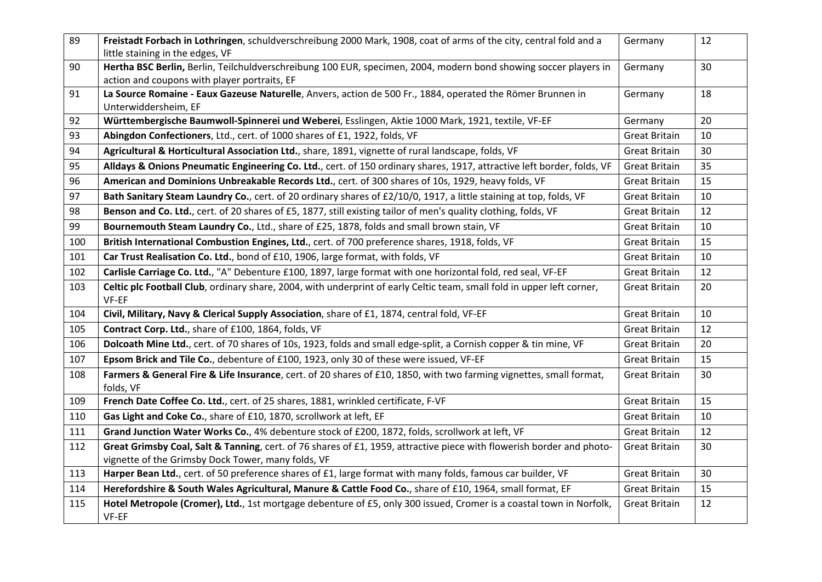| 89  | Freistadt Forbach in Lothringen, schuldverschreibung 2000 Mark, 1908, coat of arms of the city, central fold and a<br>little staining in the edges, VF                      | Germany              | 12 |
|-----|-----------------------------------------------------------------------------------------------------------------------------------------------------------------------------|----------------------|----|
| 90  | Hertha BSC Berlin, Berlin, Teilchuldverschreibung 100 EUR, specimen, 2004, modern bond showing soccer players in<br>action and coupons with player portraits, EF            | Germany              | 30 |
| 91  | La Source Romaine - Eaux Gazeuse Naturelle, Anvers, action de 500 Fr., 1884, operated the Römer Brunnen in<br>Unterwiddersheim, EF                                          | Germany              | 18 |
| 92  | Württembergische Baumwoll-Spinnerei und Weberei, Esslingen, Aktie 1000 Mark, 1921, textile, VF-EF                                                                           | Germany              | 20 |
| 93  | Abingdon Confectioners, Ltd., cert. of 1000 shares of £1, 1922, folds, VF                                                                                                   | <b>Great Britain</b> | 10 |
| 94  | Agricultural & Horticultural Association Ltd., share, 1891, vignette of rural landscape, folds, VF                                                                          | <b>Great Britain</b> | 30 |
| 95  | Alldays & Onions Pneumatic Engineering Co. Ltd., cert. of 150 ordinary shares, 1917, attractive left border, folds, VF                                                      | <b>Great Britain</b> | 35 |
| 96  | American and Dominions Unbreakable Records Ltd., cert. of 300 shares of 10s, 1929, heavy folds, VF                                                                          | <b>Great Britain</b> | 15 |
| 97  | Bath Sanitary Steam Laundry Co., cert. of 20 ordinary shares of £2/10/0, 1917, a little staining at top, folds, VF                                                          | <b>Great Britain</b> | 10 |
| 98  | Benson and Co. Ltd., cert. of 20 shares of £5, 1877, still existing tailor of men's quality clothing, folds, VF                                                             | <b>Great Britain</b> | 12 |
| 99  | Bournemouth Steam Laundry Co., Ltd., share of £25, 1878, folds and small brown stain, VF                                                                                    | <b>Great Britain</b> | 10 |
| 100 | British International Combustion Engines, Ltd., cert. of 700 preference shares, 1918, folds, VF                                                                             | <b>Great Britain</b> | 15 |
| 101 | Car Trust Realisation Co. Ltd., bond of £10, 1906, large format, with folds, VF                                                                                             | <b>Great Britain</b> | 10 |
| 102 | Carlisle Carriage Co. Ltd., "A" Debenture £100, 1897, large format with one horizontal fold, red seal, VF-EF                                                                | <b>Great Britain</b> | 12 |
| 103 | Celtic plc Football Club, ordinary share, 2004, with underprint of early Celtic team, small fold in upper left corner,<br>VF-EF                                             | <b>Great Britain</b> | 20 |
| 104 | Civil, Military, Navy & Clerical Supply Association, share of £1, 1874, central fold, VF-EF                                                                                 | <b>Great Britain</b> | 10 |
| 105 | Contract Corp. Ltd., share of £100, 1864, folds, VF                                                                                                                         | <b>Great Britain</b> | 12 |
| 106 | Dolcoath Mine Ltd., cert. of 70 shares of 10s, 1923, folds and small edge-split, a Cornish copper & tin mine, VF                                                            | <b>Great Britain</b> | 20 |
| 107 | Epsom Brick and Tile Co., debenture of £100, 1923, only 30 of these were issued, VF-EF                                                                                      | <b>Great Britain</b> | 15 |
| 108 | Farmers & General Fire & Life Insurance, cert. of 20 shares of £10, 1850, with two farming vignettes, small format,<br>folds, VF                                            | <b>Great Britain</b> | 30 |
| 109 | French Date Coffee Co. Ltd., cert. of 25 shares, 1881, wrinkled certificate, F-VF                                                                                           | <b>Great Britain</b> | 15 |
| 110 | Gas Light and Coke Co., share of £10, 1870, scrollwork at left, EF                                                                                                          | <b>Great Britain</b> | 10 |
| 111 | Grand Junction Water Works Co., 4% debenture stock of £200, 1872, folds, scrollwork at left, VF                                                                             | <b>Great Britain</b> | 12 |
| 112 | Great Grimsby Coal, Salt & Tanning, cert. of 76 shares of £1, 1959, attractive piece with flowerish border and photo-<br>vignette of the Grimsby Dock Tower, many folds, VF | <b>Great Britain</b> | 30 |
| 113 | Harper Bean Ltd., cert. of 50 preference shares of £1, large format with many folds, famous car builder, VF                                                                 | <b>Great Britain</b> | 30 |
| 114 | Herefordshire & South Wales Agricultural, Manure & Cattle Food Co., share of £10, 1964, small format, EF                                                                    | <b>Great Britain</b> | 15 |
| 115 | Hotel Metropole (Cromer), Ltd., 1st mortgage debenture of £5, only 300 issued, Cromer is a coastal town in Norfolk,<br>VF-EF                                                | <b>Great Britain</b> | 12 |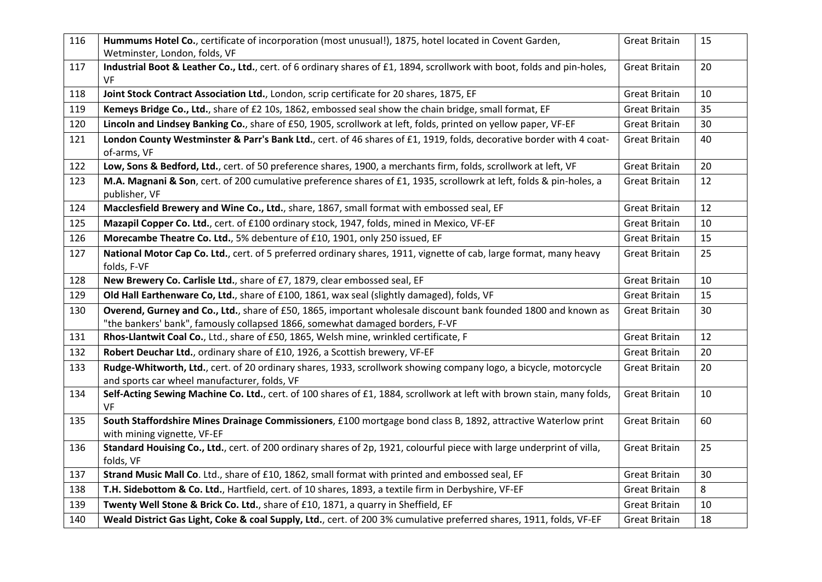| 116 | Hummums Hotel Co., certificate of incorporation (most unusual!), 1875, hotel located in Covent Garden,<br>Wetminster, London, folds, VF                                                        | <b>Great Britain</b> | 15 |
|-----|------------------------------------------------------------------------------------------------------------------------------------------------------------------------------------------------|----------------------|----|
| 117 | Industrial Boot & Leather Co., Ltd., cert. of 6 ordinary shares of £1, 1894, scrollwork with boot, folds and pin-holes,<br>VF                                                                  | <b>Great Britain</b> | 20 |
| 118 | Joint Stock Contract Association Ltd., London, scrip certificate for 20 shares, 1875, EF                                                                                                       | <b>Great Britain</b> | 10 |
| 119 | Kemeys Bridge Co., Ltd., share of £2 10s, 1862, embossed seal show the chain bridge, small format, EF                                                                                          | <b>Great Britain</b> | 35 |
| 120 | Lincoln and Lindsey Banking Co., share of £50, 1905, scrollwork at left, folds, printed on yellow paper, VF-EF                                                                                 | <b>Great Britain</b> | 30 |
| 121 | London County Westminster & Parr's Bank Ltd., cert. of 46 shares of £1, 1919, folds, decorative border with 4 coat-<br>of-arms, VF                                                             | <b>Great Britain</b> | 40 |
| 122 | Low, Sons & Bedford, Ltd., cert. of 50 preference shares, 1900, a merchants firm, folds, scrollwork at left, VF                                                                                | <b>Great Britain</b> | 20 |
| 123 | M.A. Magnani & Son, cert. of 200 cumulative preference shares of £1, 1935, scrollowrk at left, folds & pin-holes, a<br>publisher, VF                                                           | <b>Great Britain</b> | 12 |
| 124 | Macclesfield Brewery and Wine Co., Ltd., share, 1867, small format with embossed seal, EF                                                                                                      | <b>Great Britain</b> | 12 |
| 125 | Mazapil Copper Co. Ltd., cert. of £100 ordinary stock, 1947, folds, mined in Mexico, VF-EF                                                                                                     | <b>Great Britain</b> | 10 |
| 126 | Morecambe Theatre Co. Ltd., 5% debenture of £10, 1901, only 250 issued, EF                                                                                                                     | <b>Great Britain</b> | 15 |
| 127 | National Motor Cap Co. Ltd., cert. of 5 preferred ordinary shares, 1911, vignette of cab, large format, many heavy<br>folds, F-VF                                                              | <b>Great Britain</b> | 25 |
| 128 | New Brewery Co. Carlisle Ltd., share of £7, 1879, clear embossed seal, EF                                                                                                                      | <b>Great Britain</b> | 10 |
| 129 | Old Hall Earthenware Co, Ltd., share of £100, 1861, wax seal (slightly damaged), folds, VF                                                                                                     | <b>Great Britain</b> | 15 |
| 130 | Overend, Gurney and Co., Ltd., share of £50, 1865, important wholesale discount bank founded 1800 and known as<br>"the bankers' bank", famously collapsed 1866, somewhat damaged borders, F-VF | <b>Great Britain</b> | 30 |
| 131 | Rhos-Llantwit Coal Co., Ltd., share of £50, 1865, Welsh mine, wrinkled certificate, F                                                                                                          | <b>Great Britain</b> | 12 |
| 132 | Robert Deuchar Ltd., ordinary share of £10, 1926, a Scottish brewery, VF-EF                                                                                                                    | <b>Great Britain</b> | 20 |
| 133 | Rudge-Whitworth, Ltd., cert. of 20 ordinary shares, 1933, scrollwork showing company logo, a bicycle, motorcycle<br>and sports car wheel manufacturer, folds, VF                               | <b>Great Britain</b> | 20 |
| 134 | Self-Acting Sewing Machine Co. Ltd., cert. of 100 shares of £1, 1884, scrollwork at left with brown stain, many folds,<br><b>VF</b>                                                            | <b>Great Britain</b> | 10 |
| 135 | South Staffordshire Mines Drainage Commissioners, £100 mortgage bond class B, 1892, attractive Waterlow print<br>with mining vignette, VF-EF                                                   | <b>Great Britain</b> | 60 |
| 136 | Standard Houising Co., Ltd., cert. of 200 ordinary shares of 2p, 1921, colourful piece with large underprint of villa,<br>folds, VF                                                            | <b>Great Britain</b> | 25 |
| 137 | Strand Music Mall Co. Ltd., share of £10, 1862, small format with printed and embossed seal, EF                                                                                                | <b>Great Britain</b> | 30 |
| 138 | T.H. Sidebottom & Co. Ltd., Hartfield, cert. of 10 shares, 1893, a textile firm in Derbyshire, VF-EF                                                                                           | <b>Great Britain</b> | 8  |
| 139 | Twenty Well Stone & Brick Co. Ltd., share of £10, 1871, a quarry in Sheffield, EF                                                                                                              | <b>Great Britain</b> | 10 |
| 140 | Weald District Gas Light, Coke & coal Supply, Ltd., cert. of 200 3% cumulative preferred shares, 1911, folds, VF-EF                                                                            | <b>Great Britain</b> | 18 |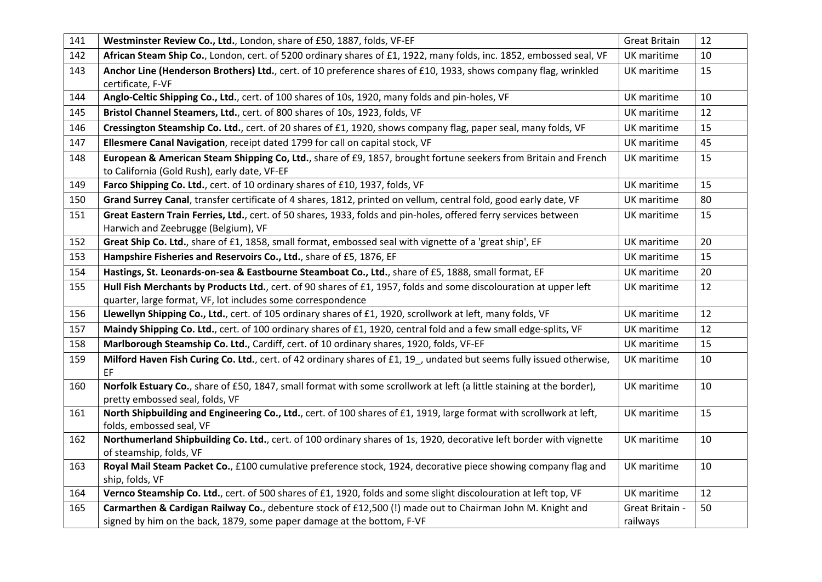| 141 | Westminster Review Co., Ltd., London, share of £50, 1887, folds, VF-EF                                                                                          | <b>Great Britain</b> | 12 |
|-----|-----------------------------------------------------------------------------------------------------------------------------------------------------------------|----------------------|----|
| 142 | African Steam Ship Co., London, cert. of 5200 ordinary shares of £1, 1922, many folds, inc. 1852, embossed seal, VF                                             | UK maritime          | 10 |
| 143 | Anchor Line (Henderson Brothers) Ltd., cert. of 10 preference shares of £10, 1933, shows company flag, wrinkled                                                 | UK maritime          | 15 |
| 144 | certificate, F-VF                                                                                                                                               |                      | 10 |
|     | Anglo-Celtic Shipping Co., Ltd., cert. of 100 shares of 10s, 1920, many folds and pin-holes, VF                                                                 | UK maritime          |    |
| 145 | Bristol Channel Steamers, Ltd., cert. of 800 shares of 10s, 1923, folds, VF                                                                                     | <b>UK</b> maritime   | 12 |
| 146 | Cressington Steamship Co. Ltd., cert. of 20 shares of £1, 1920, shows company flag, paper seal, many folds, VF                                                  | <b>UK</b> maritime   | 15 |
| 147 | Ellesmere Canal Navigation, receipt dated 1799 for call on capital stock, VF                                                                                    | UK maritime          | 45 |
| 148 | European & American Steam Shipping Co, Ltd., share of £9, 1857, brought fortune seekers from Britain and French<br>to California (Gold Rush), early date, VF-EF | UK maritime          | 15 |
| 149 | Farco Shipping Co. Ltd., cert. of 10 ordinary shares of £10, 1937, folds, VF                                                                                    | UK maritime          | 15 |
| 150 | Grand Surrey Canal, transfer certificate of 4 shares, 1812, printed on vellum, central fold, good early date, VF                                                | UK maritime          | 80 |
| 151 | Great Eastern Train Ferries, Ltd., cert. of 50 shares, 1933, folds and pin-holes, offered ferry services between<br>Harwich and Zeebrugge (Belgium), VF         | UK maritime          | 15 |
| 152 | Great Ship Co. Ltd., share of £1, 1858, small format, embossed seal with vignette of a 'great ship', EF                                                         | UK maritime          | 20 |
| 153 | Hampshire Fisheries and Reservoirs Co., Ltd., share of £5, 1876, EF                                                                                             | UK maritime          | 15 |
| 154 | Hastings, St. Leonards-on-sea & Eastbourne Steamboat Co., Ltd., share of £5, 1888, small format, EF                                                             | UK maritime          | 20 |
| 155 | Hull Fish Merchants by Products Ltd., cert. of 90 shares of £1, 1957, folds and some discolouration at upper left                                               | <b>UK</b> maritime   | 12 |
|     | quarter, large format, VF, lot includes some correspondence                                                                                                     |                      |    |
| 156 | Llewellyn Shipping Co., Ltd., cert. of 105 ordinary shares of £1, 1920, scrollwork at left, many folds, VF                                                      | UK maritime          | 12 |
| 157 | Maindy Shipping Co. Ltd., cert. of 100 ordinary shares of £1, 1920, central fold and a few small edge-splits, VF                                                | UK maritime          | 12 |
| 158 | Marlborough Steamship Co. Ltd., Cardiff, cert. of 10 ordinary shares, 1920, folds, VF-EF                                                                        | UK maritime          | 15 |
| 159 | Milford Haven Fish Curing Co. Ltd., cert. of 42 ordinary shares of £1, 19, undated but seems fully issued otherwise,<br>EF                                      | UK maritime          | 10 |
| 160 | Norfolk Estuary Co., share of £50, 1847, small format with some scrollwork at left (a little staining at the border),<br>pretty embossed seal, folds, VF        | UK maritime          | 10 |
| 161 | North Shipbuilding and Engineering Co., Ltd., cert. of 100 shares of £1, 1919, large format with scrollwork at left,<br>folds, embossed seal, VF                | UK maritime          | 15 |
| 162 | Northumerland Shipbuilding Co. Ltd., cert. of 100 ordinary shares of 1s, 1920, decorative left border with vignette<br>of steamship, folds, VF                  | UK maritime          | 10 |
| 163 | Royal Mail Steam Packet Co., £100 cumulative preference stock, 1924, decorative piece showing company flag and<br>ship, folds, VF                               | UK maritime          | 10 |
| 164 | Vernco Steamship Co. Ltd., cert. of 500 shares of £1, 1920, folds and some slight discolouration at left top, VF                                                | UK maritime          | 12 |
| 165 | Carmarthen & Cardigan Railway Co., debenture stock of £12,500 (!) made out to Chairman John M. Knight and                                                       | Great Britain -      | 50 |
|     | signed by him on the back, 1879, some paper damage at the bottom, F-VF                                                                                          | railways             |    |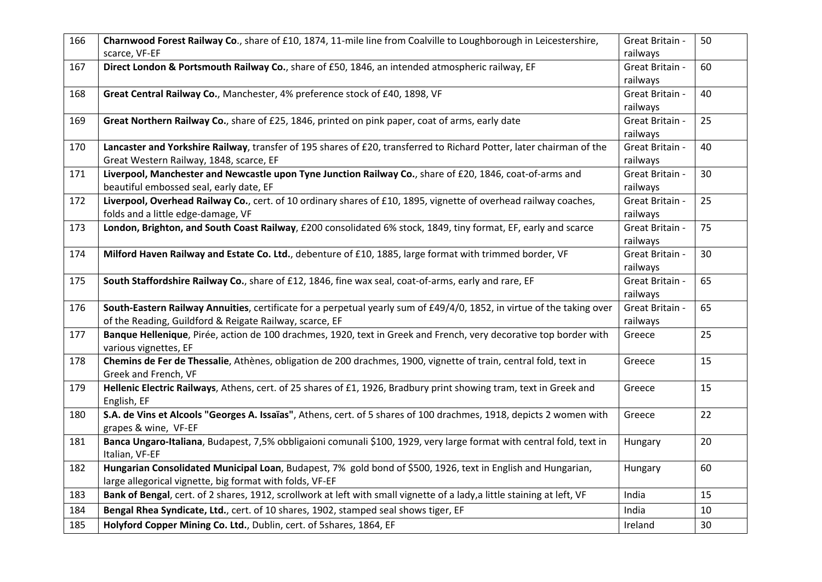| 166 | Charnwood Forest Railway Co., share of £10, 1874, 11-mile line from Coalville to Loughborough in Leicestershire,<br>scarce, VF-EF                                                 | Great Britain -<br>railways | 50 |
|-----|-----------------------------------------------------------------------------------------------------------------------------------------------------------------------------------|-----------------------------|----|
| 167 | Direct London & Portsmouth Railway Co., share of £50, 1846, an intended atmospheric railway, EF                                                                                   | Great Britain -<br>railways | 60 |
| 168 | Great Central Railway Co., Manchester, 4% preference stock of £40, 1898, VF                                                                                                       | Great Britain -<br>railways | 40 |
| 169 | Great Northern Railway Co., share of £25, 1846, printed on pink paper, coat of arms, early date                                                                                   | Great Britain -<br>railways | 25 |
| 170 | Lancaster and Yorkshire Railway, transfer of 195 shares of £20, transferred to Richard Potter, later chairman of the<br>Great Western Railway, 1848, scarce, EF                   | Great Britain -<br>railways | 40 |
| 171 | Liverpool, Manchester and Newcastle upon Tyne Junction Railway Co., share of £20, 1846, coat-of-arms and<br>beautiful embossed seal, early date, EF                               | Great Britain -<br>railways | 30 |
| 172 | Liverpool, Overhead Railway Co., cert. of 10 ordinary shares of £10, 1895, vignette of overhead railway coaches,<br>folds and a little edge-damage, VF                            | Great Britain -<br>railways | 25 |
| 173 | London, Brighton, and South Coast Railway, £200 consolidated 6% stock, 1849, tiny format, EF, early and scarce                                                                    | Great Britain -<br>railways | 75 |
| 174 | Milford Haven Railway and Estate Co. Ltd., debenture of £10, 1885, large format with trimmed border, VF                                                                           | Great Britain -<br>railways | 30 |
| 175 | South Staffordshire Railway Co., share of £12, 1846, fine wax seal, coat-of-arms, early and rare, EF                                                                              | Great Britain -<br>railways | 65 |
| 176 | South-Eastern Railway Annuities, certificate for a perpetual yearly sum of £49/4/0, 1852, in virtue of the taking over<br>of the Reading, Guildford & Reigate Railway, scarce, EF | Great Britain -<br>railways | 65 |
| 177 | Banque Hellenique, Pirée, action de 100 drachmes, 1920, text in Greek and French, very decorative top border with<br>various vignettes, EF                                        | Greece                      | 25 |
| 178 | Chemins de Fer de Thessalie, Athènes, obligation de 200 drachmes, 1900, vignette of train, central fold, text in<br>Greek and French, VF                                          | Greece                      | 15 |
| 179 | Hellenic Electric Railways, Athens, cert. of 25 shares of £1, 1926, Bradbury print showing tram, text in Greek and<br>English, EF                                                 | Greece                      | 15 |
| 180 | S.A. de Vins et Alcools "Georges A. Issaïas", Athens, cert. of 5 shares of 100 drachmes, 1918, depicts 2 women with<br>grapes & wine, VF-EF                                       | Greece                      | 22 |
| 181 | Banca Ungaro-Italiana, Budapest, 7,5% obbligaioni comunali \$100, 1929, very large format with central fold, text in<br>Italian, VF-EF                                            | Hungary                     | 20 |
| 182 | Hungarian Consolidated Municipal Loan, Budapest, 7% gold bond of \$500, 1926, text in English and Hungarian,<br>large allegorical vignette, big format with folds, VF-EF          | Hungary                     | 60 |
| 183 | Bank of Bengal, cert. of 2 shares, 1912, scrollwork at left with small vignette of a lady, a little staining at left, VF                                                          | India                       | 15 |
| 184 | Bengal Rhea Syndicate, Ltd., cert. of 10 shares, 1902, stamped seal shows tiger, EF                                                                                               | India                       | 10 |
| 185 | Holyford Copper Mining Co. Ltd., Dublin, cert. of 5shares, 1864, EF                                                                                                               | Ireland                     | 30 |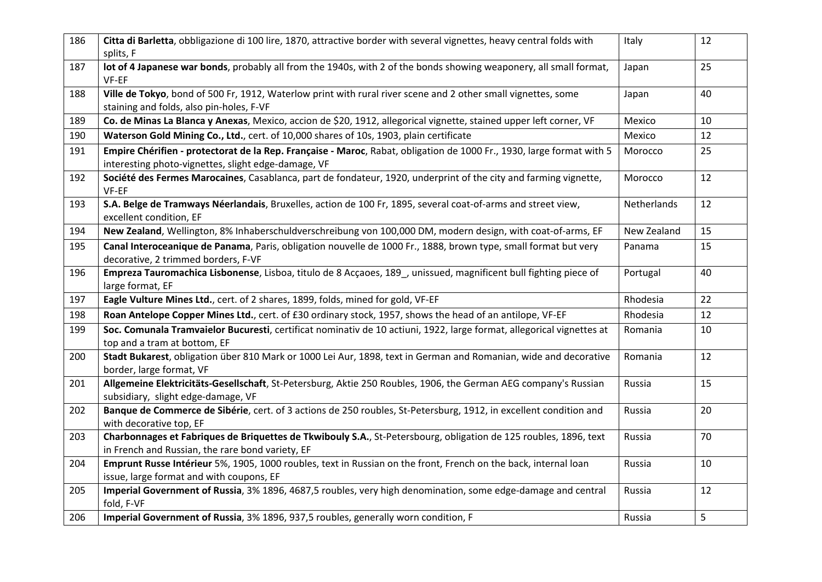| 186 | Citta di Barletta, obbligazione di 100 lire, 1870, attractive border with several vignettes, heavy central folds with<br>splits, F                                           | Italy       | 12             |
|-----|------------------------------------------------------------------------------------------------------------------------------------------------------------------------------|-------------|----------------|
| 187 | lot of 4 Japanese war bonds, probably all from the 1940s, with 2 of the bonds showing weaponery, all small format,<br>VF-EF                                                  | Japan       | 25             |
| 188 | Ville de Tokyo, bond of 500 Fr, 1912, Waterlow print with rural river scene and 2 other small vignettes, some<br>staining and folds, also pin-holes, F-VF                    | Japan       | 40             |
| 189 | Co. de Minas La Blanca y Anexas, Mexico, accion de \$20, 1912, allegorical vignette, stained upper left corner, VF                                                           | Mexico      | 10             |
| 190 | Waterson Gold Mining Co., Ltd., cert. of 10,000 shares of 10s, 1903, plain certificate                                                                                       | Mexico      | 12             |
| 191 | Empire Chérifien - protectorat de la Rep. Française - Maroc, Rabat, obligation de 1000 Fr., 1930, large format with 5<br>interesting photo-vignettes, slight edge-damage, VF | Morocco     | 25             |
| 192 | Société des Fermes Marocaines, Casablanca, part de fondateur, 1920, underprint of the city and farming vignette,<br>VF-EF                                                    | Morocco     | 12             |
| 193 | S.A. Belge de Tramways Néerlandais, Bruxelles, action de 100 Fr, 1895, several coat-of-arms and street view,<br>excellent condition, EF                                      | Netherlands | 12             |
| 194 | New Zealand, Wellington, 8% Inhaberschuldverschreibung von 100,000 DM, modern design, with coat-of-arms, EF                                                                  | New Zealand | 15             |
| 195 | Canal Interoceanique de Panama, Paris, obligation nouvelle de 1000 Fr., 1888, brown type, small format but very<br>decorative, 2 trimmed borders, F-VF                       | Panama      | 15             |
| 196 | Empreza Tauromachica Lisbonense, Lisboa, titulo de 8 Acçaoes, 189, unissued, magnificent bull fighting piece of<br>large format, EF                                          | Portugal    | 40             |
| 197 | Eagle Vulture Mines Ltd., cert. of 2 shares, 1899, folds, mined for gold, VF-EF                                                                                              | Rhodesia    | 22             |
| 198 | Roan Antelope Copper Mines Ltd., cert. of £30 ordinary stock, 1957, shows the head of an antilope, VF-EF                                                                     | Rhodesia    | 12             |
| 199 | Soc. Comunala Tramvaielor Bucuresti, certificat nominativ de 10 actiuni, 1922, large format, allegorical vignettes at<br>top and a tram at bottom, EF                        | Romania     | 10             |
| 200 | Stadt Bukarest, obligation über 810 Mark or 1000 Lei Aur, 1898, text in German and Romanian, wide and decorative<br>border, large format, VF                                 | Romania     | 12             |
| 201 | Allgemeine Elektricitäts-Gesellschaft, St-Petersburg, Aktie 250 Roubles, 1906, the German AEG company's Russian<br>subsidiary, slight edge-damage, VF                        | Russia      | 15             |
| 202 | Banque de Commerce de Sibérie, cert. of 3 actions de 250 roubles, St-Petersburg, 1912, in excellent condition and<br>with decorative top, EF                                 | Russia      | 20             |
| 203 | Charbonnages et Fabriques de Briquettes de Tkwibouly S.A., St-Petersbourg, obligation de 125 roubles, 1896, text<br>in French and Russian, the rare bond variety, EF         | Russia      | 70             |
| 204 | Emprunt Russe Intérieur 5%, 1905, 1000 roubles, text in Russian on the front, French on the back, internal loan<br>issue, large format and with coupons, EF                  | Russia      | 10             |
| 205 | Imperial Government of Russia, 3% 1896, 4687,5 roubles, very high denomination, some edge-damage and central<br>fold, F-VF                                                   | Russia      | 12             |
| 206 | Imperial Government of Russia, 3% 1896, 937,5 roubles, generally worn condition, F                                                                                           | Russia      | $5\phantom{.}$ |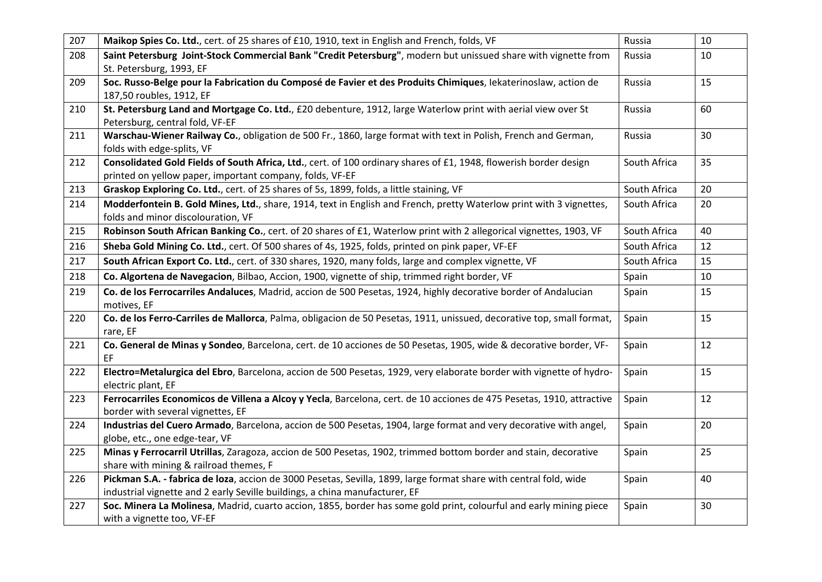| 207 | Maikop Spies Co. Ltd., cert. of 25 shares of £10, 1910, text in English and French, folds, VF                                                                                                    | Russia       | 10 |
|-----|--------------------------------------------------------------------------------------------------------------------------------------------------------------------------------------------------|--------------|----|
| 208 | Saint Petersburg Joint-Stock Commercial Bank "Credit Petersburg", modern but unissued share with vignette from<br>St. Petersburg, 1993, EF                                                       | Russia       | 10 |
| 209 | Soc. Russo-Belge pour la Fabrication du Composé de Favier et des Produits Chimiques, lekaterinoslaw, action de<br>187,50 roubles, 1912, EF                                                       | Russia       | 15 |
| 210 | St. Petersburg Land and Mortgage Co. Ltd., £20 debenture, 1912, large Waterlow print with aerial view over St<br>Petersburg, central fold, VF-EF                                                 | Russia       | 60 |
| 211 | Warschau-Wiener Railway Co., obligation de 500 Fr., 1860, large format with text in Polish, French and German,<br>folds with edge-splits, VF                                                     | Russia       | 30 |
| 212 | Consolidated Gold Fields of South Africa, Ltd., cert. of 100 ordinary shares of £1, 1948, flowerish border design<br>printed on yellow paper, important company, folds, VF-EF                    | South Africa | 35 |
| 213 | Graskop Exploring Co. Ltd., cert. of 25 shares of 5s, 1899, folds, a little staining, VF                                                                                                         | South Africa | 20 |
| 214 | Modderfontein B. Gold Mines, Ltd., share, 1914, text in English and French, pretty Waterlow print with 3 vignettes,<br>folds and minor discolouration, VF                                        | South Africa | 20 |
| 215 | Robinson South African Banking Co., cert. of 20 shares of £1, Waterlow print with 2 allegorical vignettes, 1903, VF                                                                              | South Africa | 40 |
| 216 | Sheba Gold Mining Co. Ltd., cert. Of 500 shares of 4s, 1925, folds, printed on pink paper, VF-EF                                                                                                 | South Africa | 12 |
| 217 | South African Export Co. Ltd., cert. of 330 shares, 1920, many folds, large and complex vignette, VF                                                                                             | South Africa | 15 |
| 218 | Co. Algortena de Navegacion, Bilbao, Accion, 1900, vignette of ship, trimmed right border, VF                                                                                                    | Spain        | 10 |
| 219 | Co. de los Ferrocarriles Andaluces, Madrid, accion de 500 Pesetas, 1924, highly decorative border of Andalucian<br>motives, EF                                                                   | Spain        | 15 |
| 220 | Co. de los Ferro-Carriles de Mallorca, Palma, obligacion de 50 Pesetas, 1911, unissued, decorative top, small format,<br>rare, EF                                                                | Spain        | 15 |
| 221 | Co. General de Minas y Sondeo, Barcelona, cert. de 10 acciones de 50 Pesetas, 1905, wide & decorative border, VF-<br>EF                                                                          | Spain        | 12 |
| 222 | Electro=Metalurgica del Ebro, Barcelona, accion de 500 Pesetas, 1929, very elaborate border with vignette of hydro-<br>electric plant, EF                                                        | Spain        | 15 |
| 223 | Ferrocarriles Economicos de Villena a Alcoy y Yecla, Barcelona, cert. de 10 acciones de 475 Pesetas, 1910, attractive<br>border with several vignettes, EF                                       | Spain        | 12 |
| 224 | Industrias del Cuero Armado, Barcelona, accion de 500 Pesetas, 1904, large format and very decorative with angel,<br>globe, etc., one edge-tear, VF                                              | Spain        | 20 |
| 225 | Minas y Ferrocarril Utrillas, Zaragoza, accion de 500 Pesetas, 1902, trimmed bottom border and stain, decorative<br>share with mining & railroad themes, F                                       | Spain        | 25 |
| 226 | Pickman S.A. - fabrica de loza, accion de 3000 Pesetas, Sevilla, 1899, large format share with central fold, wide<br>industrial vignette and 2 early Seville buildings, a china manufacturer, EF | Spain        | 40 |
| 227 | Soc. Minera La Molinesa, Madrid, cuarto accion, 1855, border has some gold print, colourful and early mining piece<br>with a vignette too, VF-EF                                                 | Spain        | 30 |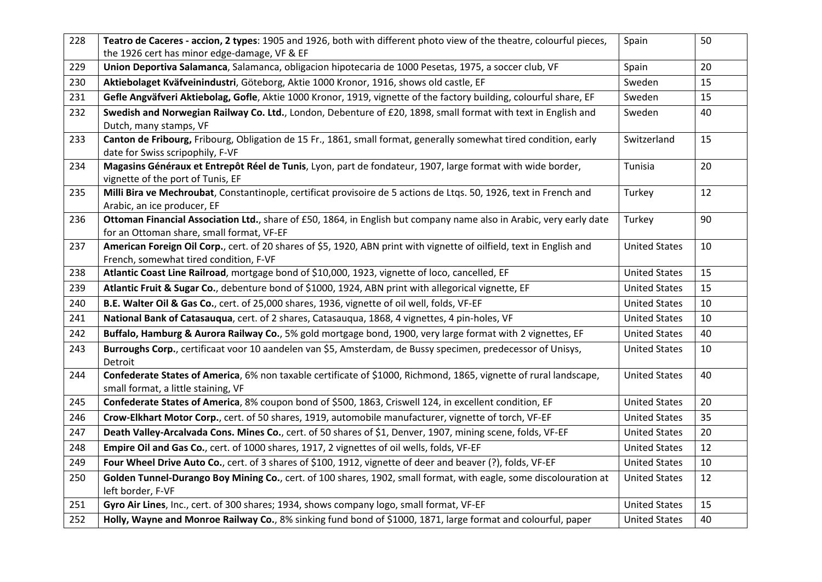| 228 | Teatro de Caceres - accion, 2 types: 1905 and 1926, both with different photo view of the theatre, colourful pieces,<br>the 1926 cert has minor edge-damage, VF & EF | Spain                | 50 |
|-----|----------------------------------------------------------------------------------------------------------------------------------------------------------------------|----------------------|----|
| 229 | Union Deportiva Salamanca, Salamanca, obligacion hipotecaria de 1000 Pesetas, 1975, a soccer club, VF                                                                | Spain                | 20 |
| 230 | Aktiebolaget Kväfveinindustri, Göteborg, Aktie 1000 Kronor, 1916, shows old castle, EF                                                                               | Sweden               | 15 |
| 231 | Gefle Angväfveri Aktiebolag, Gofle, Aktie 1000 Kronor, 1919, vignette of the factory building, colourful share, EF                                                   | Sweden               | 15 |
| 232 | Swedish and Norwegian Railway Co. Ltd., London, Debenture of £20, 1898, small format with text in English and<br>Dutch, many stamps, VF                              | Sweden               | 40 |
| 233 | Canton de Fribourg, Fribourg, Obligation de 15 Fr., 1861, small format, generally somewhat tired condition, early<br>date for Swiss scripophily, F-VF                | Switzerland          | 15 |
| 234 | Magasins Généraux et Entrepôt Réel de Tunis, Lyon, part de fondateur, 1907, large format with wide border,<br>vignette of the port of Tunis, EF                      | Tunisia              | 20 |
| 235 | Milli Bira ve Mechroubat, Constantinople, certificat provisoire de 5 actions de Ltqs. 50, 1926, text in French and<br>Arabic, an ice producer, EF                    | Turkey               | 12 |
| 236 | Ottoman Financial Association Ltd., share of £50, 1864, in English but company name also in Arabic, very early date<br>for an Ottoman share, small format, VF-EF     | Turkey               | 90 |
| 237 | American Foreign Oil Corp., cert. of 20 shares of \$5, 1920, ABN print with vignette of oilfield, text in English and<br>French, somewhat tired condition, F-VF      | <b>United States</b> | 10 |
| 238 | Atlantic Coast Line Railroad, mortgage bond of \$10,000, 1923, vignette of loco, cancelled, EF                                                                       | <b>United States</b> | 15 |
| 239 | Atlantic Fruit & Sugar Co., debenture bond of \$1000, 1924, ABN print with allegorical vignette, EF                                                                  | <b>United States</b> | 15 |
| 240 | B.E. Walter Oil & Gas Co., cert. of 25,000 shares, 1936, vignette of oil well, folds, VF-EF                                                                          | <b>United States</b> | 10 |
| 241 | National Bank of Catasauqua, cert. of 2 shares, Catasauqua, 1868, 4 vignettes, 4 pin-holes, VF                                                                       | <b>United States</b> | 10 |
| 242 | Buffalo, Hamburg & Aurora Railway Co., 5% gold mortgage bond, 1900, very large format with 2 vignettes, EF                                                           | <b>United States</b> | 40 |
| 243 | Burroughs Corp., certificaat voor 10 aandelen van \$5, Amsterdam, de Bussy specimen, predecessor of Unisys,<br>Detroit                                               | <b>United States</b> | 10 |
| 244 | Confederate States of America, 6% non taxable certificate of \$1000, Richmond, 1865, vignette of rural landscape,<br>small format, a little staining, VF             | <b>United States</b> | 40 |
| 245 | Confederate States of America, 8% coupon bond of \$500, 1863, Criswell 124, in excellent condition, EF                                                               | <b>United States</b> | 20 |
| 246 | Crow-Elkhart Motor Corp., cert. of 50 shares, 1919, automobile manufacturer, vignette of torch, VF-EF                                                                | <b>United States</b> | 35 |
| 247 | Death Valley-Arcalvada Cons. Mines Co., cert. of 50 shares of \$1, Denver, 1907, mining scene, folds, VF-EF                                                          | <b>United States</b> | 20 |
| 248 | Empire Oil and Gas Co., cert. of 1000 shares, 1917, 2 vignettes of oil wells, folds, VF-EF                                                                           | <b>United States</b> | 12 |
| 249 | Four Wheel Drive Auto Co., cert. of 3 shares of \$100, 1912, vignette of deer and beaver (?), folds, VF-EF                                                           | <b>United States</b> | 10 |
| 250 | Golden Tunnel-Durango Boy Mining Co., cert. of 100 shares, 1902, small format, with eagle, some discolouration at<br>left border, F-VF                               | <b>United States</b> | 12 |
| 251 | Gyro Air Lines, Inc., cert. of 300 shares; 1934, shows company logo, small format, VF-EF                                                                             | <b>United States</b> | 15 |
| 252 | Holly, Wayne and Monroe Railway Co., 8% sinking fund bond of \$1000, 1871, large format and colourful, paper                                                         | <b>United States</b> | 40 |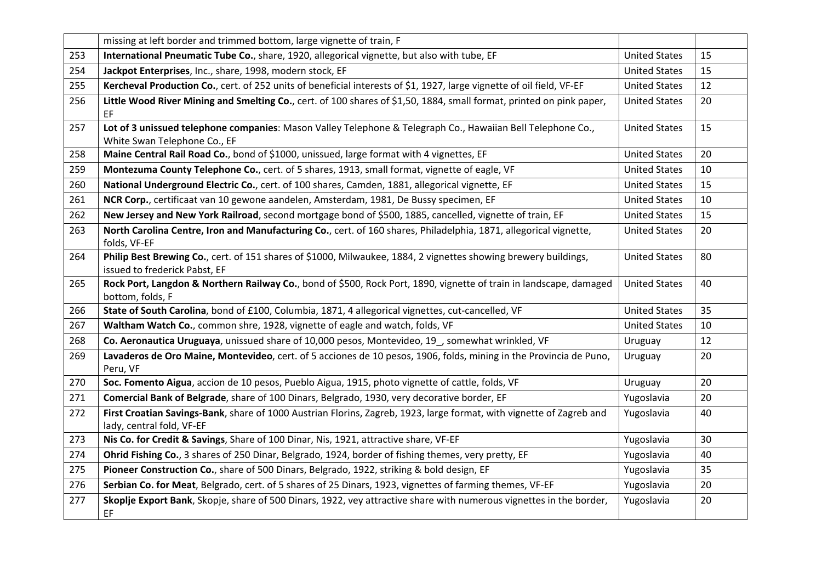|     | missing at left border and trimmed bottom, large vignette of train, F                                                                             |                      |    |
|-----|---------------------------------------------------------------------------------------------------------------------------------------------------|----------------------|----|
| 253 | International Pneumatic Tube Co., share, 1920, allegorical vignette, but also with tube, EF                                                       | <b>United States</b> | 15 |
| 254 | Jackpot Enterprises, Inc., share, 1998, modern stock, EF                                                                                          | <b>United States</b> | 15 |
| 255 | Kercheval Production Co., cert. of 252 units of beneficial interests of \$1, 1927, large vignette of oil field, VF-EF                             | <b>United States</b> | 12 |
| 256 | Little Wood River Mining and Smelting Co., cert. of 100 shares of \$1,50, 1884, small format, printed on pink paper,<br>EF                        | <b>United States</b> | 20 |
| 257 | Lot of 3 unissued telephone companies: Mason Valley Telephone & Telegraph Co., Hawaiian Bell Telephone Co.,<br>White Swan Telephone Co., EF       | <b>United States</b> | 15 |
| 258 | Maine Central Rail Road Co., bond of \$1000, unissued, large format with 4 vignettes, EF                                                          | <b>United States</b> | 20 |
| 259 | Montezuma County Telephone Co., cert. of 5 shares, 1913, small format, vignette of eagle, VF                                                      | <b>United States</b> | 10 |
| 260 | National Underground Electric Co., cert. of 100 shares, Camden, 1881, allegorical vignette, EF                                                    | <b>United States</b> | 15 |
| 261 | NCR Corp., certificaat van 10 gewone aandelen, Amsterdam, 1981, De Bussy specimen, EF                                                             | <b>United States</b> | 10 |
| 262 | New Jersey and New York Railroad, second mortgage bond of \$500, 1885, cancelled, vignette of train, EF                                           | <b>United States</b> | 15 |
| 263 | North Carolina Centre, Iron and Manufacturing Co., cert. of 160 shares, Philadelphia, 1871, allegorical vignette,<br>folds, VF-EF                 | <b>United States</b> | 20 |
| 264 | Philip Best Brewing Co., cert. of 151 shares of \$1000, Milwaukee, 1884, 2 vignettes showing brewery buildings,<br>issued to frederick Pabst, EF  | <b>United States</b> | 80 |
| 265 | Rock Port, Langdon & Northern Railway Co., bond of \$500, Rock Port, 1890, vignette of train in landscape, damaged<br>bottom, folds, F            | <b>United States</b> | 40 |
| 266 | State of South Carolina, bond of £100, Columbia, 1871, 4 allegorical vignettes, cut-cancelled, VF                                                 | <b>United States</b> | 35 |
| 267 | Waltham Watch Co., common shre, 1928, vignette of eagle and watch, folds, VF                                                                      | <b>United States</b> | 10 |
| 268 | Co. Aeronautica Uruguaya, unissued share of 10,000 pesos, Montevideo, 19, somewhat wrinkled, VF                                                   | Uruguay              | 12 |
| 269 | Lavaderos de Oro Maine, Montevideo, cert. of 5 acciones de 10 pesos, 1906, folds, mining in the Provincia de Puno,<br>Peru, VF                    | Uruguay              | 20 |
| 270 | Soc. Fomento Aigua, accion de 10 pesos, Pueblo Aigua, 1915, photo vignette of cattle, folds, VF                                                   | Uruguay              | 20 |
| 271 | Comercial Bank of Belgrade, share of 100 Dinars, Belgrado, 1930, very decorative border, EF                                                       | Yugoslavia           | 20 |
| 272 | First Croatian Savings-Bank, share of 1000 Austrian Florins, Zagreb, 1923, large format, with vignette of Zagreb and<br>lady, central fold, VF-EF | Yugoslavia           | 40 |
| 273 | Nis Co. for Credit & Savings, Share of 100 Dinar, Nis, 1921, attractive share, VF-EF                                                              | Yugoslavia           | 30 |
| 274 | Ohrid Fishing Co., 3 shares of 250 Dinar, Belgrado, 1924, border of fishing themes, very pretty, EF                                               | Yugoslavia           | 40 |
| 275 | Pioneer Construction Co., share of 500 Dinars, Belgrado, 1922, striking & bold design, EF                                                         | Yugoslavia           | 35 |
| 276 | Serbian Co. for Meat, Belgrado, cert. of 5 shares of 25 Dinars, 1923, vignettes of farming themes, VF-EF                                          | Yugoslavia           | 20 |
| 277 | Skoplje Export Bank, Skopje, share of 500 Dinars, 1922, vey attractive share with numerous vignettes in the border,<br>EF                         | Yugoslavia           | 20 |